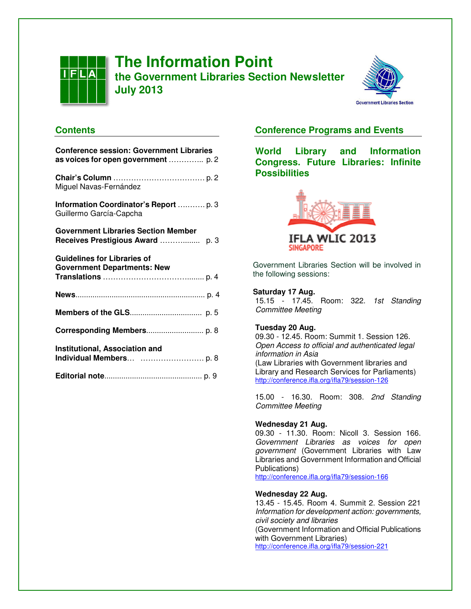

# **The Information Point the Government Libraries Section Newsletter July 2013**



# **Contents**

| <b>Conference session: Government Libraries</b>                                  |  |
|----------------------------------------------------------------------------------|--|
| as voices for open government  p. 2                                              |  |
| Miguel Navas-Fernández                                                           |  |
| Information Coordinator's Report  p. 3<br>Guillermo García-Capcha                |  |
| <b>Government Libraries Section Member</b><br>Receives Prestigious Award<br>p. 3 |  |
| <b>Guidelines for Libraries of</b><br><b>Government Departments: New</b>         |  |
|                                                                                  |  |
|                                                                                  |  |
|                                                                                  |  |
| <b>Institutional, Association and</b>                                            |  |
|                                                                                  |  |

# **Conference Programs and Events**

**World Library and Information Congress. Future Libraries: Infinite Possibilities** 



Government Libraries Section will be involved in the following sessions:

### **Saturday 17 Aug.**

15.15 - 17.45. Room: 322. 1st Standing Committee Meeting

### **Tuesday 20 Aug.**

09.30 - 12.45. Room: Summit 1. Session 126. Open Access to official and authenticated legal information in Asia (Law Libraries with Government libraries and Library and Research Services for Parliaments) http://conference.ifla.org/ifla79/session-126

15.00 - 16.30. Room: 308. 2nd Standing Committee Meeting

### **Wednesday 21 Aug.**

09.30 - 11.30. Room: Nicoll 3. Session 166. Government Libraries as voices for open government (Government Libraries with Law Libraries and Government Information and Official Publications)

http://conference.ifla.org/ifla79/session-166

#### **Wednesday 22 Aug.**

13.45 - 15.45. Room 4. Summit 2. Session 221 Information for development action: governments, civil society and libraries (Government Information and Official Publications with Government Libraries) http://conference.ifla.org/ifla79/session-221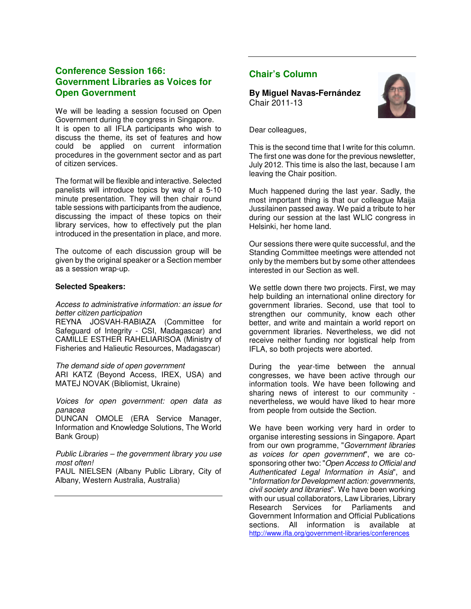# **Conference Session 166: Government Libraries as Voices for Open Government**

We will be leading a session focused on Open Government during the congress in Singapore. It is open to all IFLA participants who wish to discuss the theme, its set of features and how could be applied on current information procedures in the government sector and as part of citizen services.

The format will be flexible and interactive. Selected panelists will introduce topics by way of a 5-10 minute presentation. They will then chair round table sessions with participants from the audience, discussing the impact of these topics on their library services, how to effectively put the plan introduced in the presentation in place, and more.

The outcome of each discussion group will be given by the original speaker or a Section member as a session wrap-up.

#### **Selected Speakers:**

#### Access to administrative information: an issue for better citizen participation

REYNA JOSVAH-RABIAZA (Committee for Safeguard of Integrity - CSI, Madagascar) and CAMILLE ESTHER RAHELIARISOA (Ministry of Fisheries and Halieutic Resources, Madagascar)

The demand side of open government ARI KATZ (Beyond Access, IREX, USA) and MATEJ NOVAK (Bibliomist, Ukraine)

Voices for open government: open data as panacea

DUNCAN OMOLE (ERA Service Manager, Information and Knowledge Solutions, The World Bank Group)

Public Libraries – the government library you use most often!

PAUL NIELSEN (Albany Public Library, City of Albany, Western Australia, Australia)

# **Chair's Column**

**By Miguel Navas-Fernández**  Chair 2011-13



Dear colleagues,

This is the second time that I write for this column. The first one was done for the previous newsletter, July 2012. This time is also the last, because I am leaving the Chair position.

Much happened during the last year. Sadly, the most important thing is that our colleague Maija Jussilainen passed away. We paid a tribute to her during our session at the last WLIC congress in Helsinki, her home land.

Our sessions there were quite successful, and the Standing Committee meetings were attended not only by the members but by some other attendees interested in our Section as well.

We settle down there two projects. First, we may help building an international online directory for government libraries. Second, use that tool to strengthen our community, know each other better, and write and maintain a world report on government libraries. Nevertheless, we did not receive neither funding nor logistical help from IFLA, so both projects were aborted.

During the year-time between the annual congresses, we have been active through our information tools. We have been following and sharing news of interest to our community nevertheless, we would have liked to hear more from people from outside the Section.

We have been working very hard in order to organise interesting sessions in Singapore. Apart from our own programme, "Government libraries as voices for open government", we are cosponsoring other two: "Open Access to Official and Authenticated Legal Information in Asia", and "Information for Development action: governments, civil society and libraries". We have been working with our usual collaborators, Law Libraries, Library Research Services for Parliaments and Government Information and Official Publications sections. All information is available at http://www.ifla.org/government-libraries/conferences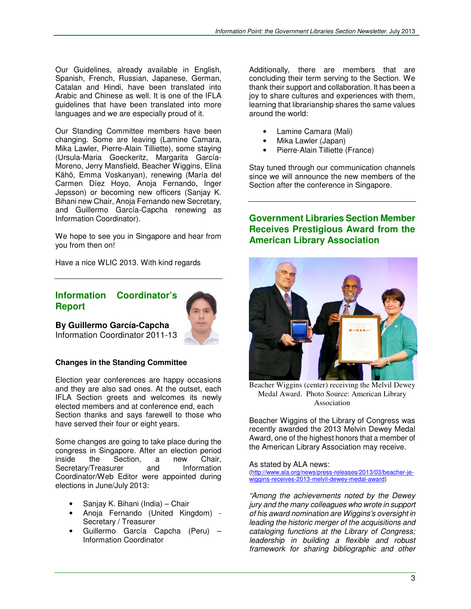Our Guidelines, already available in English, Spanish, French, Russian, Japanese, German, Catalan and Hindi, have been translated into Arabic and Chinese as well. It is one of the IFLA guidelines that have been translated into more languages and we are especially proud of it.

Our Standing Committee members have been changing. Some are leaving (Lamine Camara, Mika Lawler, Pierre-Alain Tilliette), some staying (Ursula-Maria Goeckeritz, Margarita García-Moreno, Jerry Mansfield, Beacher Wiggins, Elina Kähö, Emma Voskanyan), renewing (María del Carmen Díez Hoyo, Anoja Fernando, Inger Jepsson) or becoming new officers (Sanjay K. Bihani new Chair, Anoja Fernando new Secretary, and Guillermo García-Capcha renewing as Information Coordinator).

We hope to see you in Singapore and hear from you from then on!

Have a nice WLIC 2013. With kind regards

# **Information Coordinator's Report**



**By Guillermo García-Capcha**  Information Coordinator 2011-13

### **Changes in the Standing Committee**

Election year conferences are happy occasions and they are also sad ones. At the outset, each IFLA Section greets and welcomes its newly elected members and at conference end, each Section thanks and says farewell to those who have served their four or eight years.

Some changes are going to take place during the congress in Singapore. After an election period inside the Section, a new Chair,<br>Secretary/Treasurer and Information Secretary/Treasurer and Information Coordinator/Web Editor were appointed during elections in June/July 2013:

- Sanjay K. Bihani (India) Chair
- Anoja Fernando (United Kingdom) Secretary / Treasurer
- Guillermo García Capcha (Peru) Information Coordinator

Additionally, there are members that are concluding their term serving to the Section. We thank their support and collaboration. It has been a joy to share cultures and experiences with them, learning that librarianship shares the same values around the world:

- Lamine Camara (Mali)
- Mika Lawler (Japan)
- Pierre-Alain Tilliette (France)

Stay tuned through our communication channels since we will announce the new members of the Section after the conference in Singapore.

# **Government Libraries Section Member Receives Prestigious Award from the American Library Association**



Beacher Wiggins (center) receiving the Melvil Dewey Medal Award. Photo Source: American Library Association

Beacher Wiggins of the Library of Congress was recently awarded the 2013 Melvin Dewey Medal Award, one of the highest honors that a member of the American Library Association may receive.

#### As stated by ALA news:

(http://www.ala.org/news/press-releases/2013/03/beacher-jewiggins-receives-2013-melvil-dewey-medal-award)

"Among the achievements noted by the Dewey jury and the many colleagues who wrote in support of his award nomination are Wiggins's oversight in leading the historic merger of the acquisitions and cataloging functions at the Library of Congress; leadership in building a flexible and robust framework for sharing bibliographic and other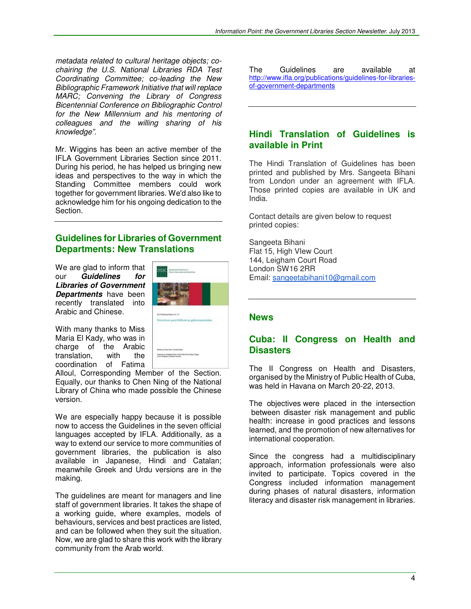metadata related to cultural heritage objects; cochairing the U.S. National Libraries RDA Test Coordinating Committee; co-leading the New Bibliographic Framework Initiative that will replace MARC; Convening the Library of Congress Bicentennial Conference on Bibliographic Control for the New Millennium and his mentoring of colleagues and the willing sharing of his knowledge".

Mr. Wiggins has been an active member of the IFLA Government Libraries Section since 2011. During his period, he has helped us bringing new ideas and perspectives to the way in which the Standing Committee members could work together for government libraries. We'd also like to acknowledge him for his ongoing dedication to the Section.

# **Guidelines for Libraries of Government Departments: New Translations**

We are glad to inform that our **Guidelines for Libraries of Government Departments** have been recently translated into Arabic and Chinese.



With many thanks to Miss Maria El Kady, who was in charge of the Arabic<br>translation. with the translation. coordination of Fatima

Alloul, Corresponding Member of the Section. Equally, our thanks to Chen Ning of the National Library of China who made possible the Chinese version.

We are especially happy because it is possible now to access the Guidelines in the seven official languages accepted by IFLA. Additionally, as a way to extend our service to more communities of government libraries, the publication is also available in Japanese, Hindi and Catalan; meanwhile Greek and Urdu versions are in the making.

The guidelines are meant for managers and line staff of government libraries. It takes the shape of a working guide, where examples, models of behaviours, services and best practices are listed, and can be followed when they suit the situation. Now, we are glad to share this work with the library community from the Arab world.

The Guidelines are available at http://www.ifla.org/publications/guidelines-for-librariesof-government-departments

# **Hindi Translation of Guidelines is available in Print**

The Hindi Translation of Guidelines has been printed and published by Mrs. Sangeeta Bihani from London under an agreement with IFLA. Those printed copies are available in UK and India.

Contact details are given below to request printed copies:

Sangeeta Bihani Flat 15, High VIew Court 144, Leigham Court Road London SW16 2RR Email: sangeetabihani10@gmail.com

## **News**

# **Cuba: II Congress on Health and Disasters**

The II Congress on Health and Disasters, organised by the Ministry of Public Health of Cuba, was held in Havana on March 20-22, 2013.

The objectives were placed in the intersection between disaster risk management and public health: increase in good practices and lessons learned, and the promotion of new alternatives for international cooperation.

Since the congress had a multidisciplinary approach, information professionals were also invited to participate. Topics covered in the Congress included information management during phases of natural disasters, information literacy and disaster risk management in libraries.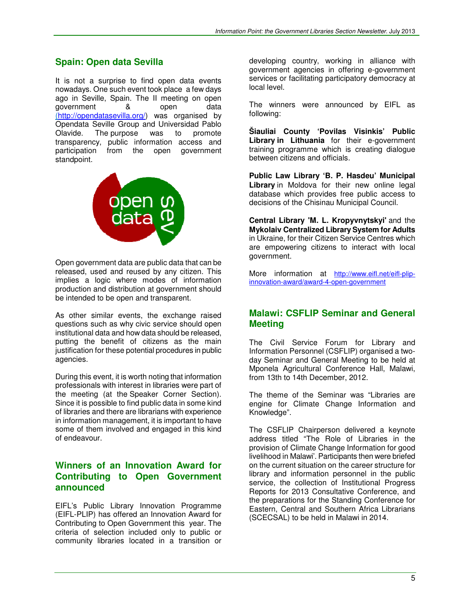# **Spain: Open data Sevilla**

It is not a surprise to find open data events nowadays. One such event took place a few days ago in Seville, Spain. The II meeting on open government & open data (http://opendatasevilla.org/) was organised by Opendata Seville Group and Universidad Pablo Olavide. The purpose was to promote transparency, public information access and participation from the open government standpoint.



Open government data are public data that can be released, used and reused by any citizen. This implies a logic where modes of information production and distribution at government should be intended to be open and transparent.

As other similar events, the exchange raised questions such as why civic service should open institutional data and how data should be released, putting the benefit of citizens as the main justification for these potential procedures in public agencies.

During this event, it is worth noting that information professionals with interest in libraries were part of the meeting (at the Speaker Corner Section). Since it is possible to find public data in some kind of libraries and there are librarians with experience in information management, it is important to have some of them involved and engaged in this kind of endeavour.

# **Winners of an Innovation Award for Contributing to Open Government announced**

EIFL's Public Library Innovation Programme (EIFL-PLIP) has offered an Innovation Award for Contributing to Open Government this year. The criteria of selection included only to public or community libraries located in a transition or

developing country, working in alliance with government agencies in offering e-government services or facilitating participatory democracy at local level.

The winners were announced by EIFL as following:

**Šiauliai County 'Povilas Visinkis' Public Library in Lithuania** for their e-government training programme which is creating dialogue between citizens and officials.

**Public Law Library 'B. P. Hasdeu' Municipal Library** in Moldova for their new online legal database which provides free public access to decisions of the Chisinau Municipal Council.

**Central Library 'M. L. Kropyvnytskyi'** and the **Mykolaiv Centralized Library System for Adults** in Ukraine, for their Citizen Service Centres which are empowering citizens to interact with local government.

More information at http://www.eifl.net/eifl-plipinnovation-award/award-4-open-government

# **Malawi: CSFLIP Seminar and General Meeting**

The Civil Service Forum for Library and Information Personnel (CSFLIP) organised a twoday Seminar and General Meeting to be held at Mponela Agricultural Conference Hall, Malawi, from 13th to 14th December, 2012.

The theme of the Seminar was "Libraries are engine for Climate Change Information and Knowledge".

The CSFLIP Chairperson delivered a keynote address titled "The Role of Libraries in the provision of Climate Change Information for good livelihood in Malawi'. Participants then were briefed on the current situation on the career structure for library and information personnel in the public service, the collection of Institutional Progress Reports for 2013 Consultative Conference, and the preparations for the Standing Conference for Eastern, Central and Southern Africa Librarians (SCECSAL) to be held in Malawi in 2014.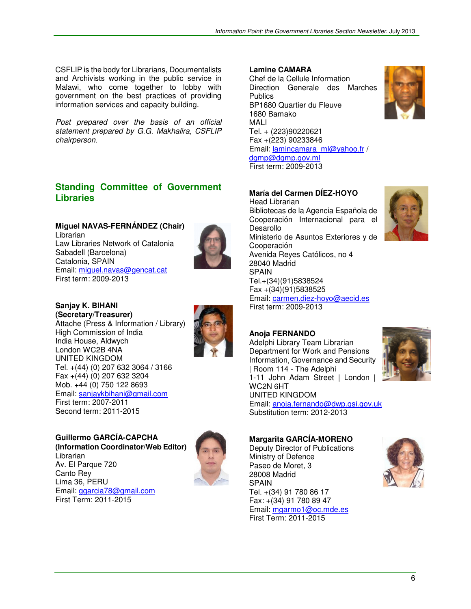CSFLIP is the body for Librarians, Documentalists and Archivists working in the public service in Malawi, who come together to lobby with government on the best practices of providing information services and capacity building.

Post prepared over the basis of an official statement prepared by G.G. Makhalira, CSFLIP chairperson.

# **Standing Committee of Government Libraries**

## **Miguel NAVAS-FERNÁNDEZ (Chair)**

**Librarian** Law Libraries Network of Catalonia Sabadell (Barcelona) Catalonia, SPAIN Email: miguel.navas@gencat.cat First term: 2009-2013



**Sanjay K. BIHANI (Secretary/Treasurer)** Attache (Press & Information / Library)

High Commission of India India House, Aldwych London WC2B 4NA UNITED KINGDOM



#### Tel. +(44) (0) 207 632 3064 / 3166 Fax +(44) (0) 207 632 3204

Mob. +44 (0) 750 122 8693 Email: sanjaykbihani@gmail.com First term: 2007-2011

Second term: 2011-2015

**Guillermo GARCÍA-CAPCHA (Information Coordinator/Web Editor)** Librarian Av. El Parque 720 Canto Rey Lima 36, PERU Email: ggarcia78@gmail.com First Term: 2011-2015



#### **Lamine CAMARA**

Chef de la Cellule Information Direction Generale des Marches **Publics** BP1680 Quartier du Fleuve 1680 Bamako MALI Tel. + (223)90220621 Fax +(223) 90233846 Email: lamincamara\_ml@yahoo.fr / dgmp@dgmp.gov.ml First term: 2009-2013

### **María del Carmen DÍEZ-HOYO**

Head Librarian Bibliotecas de la Agencia Española de Cooperación Internacional para el Desarollo Ministerio de Asuntos Exteriores y de Cooperación Avenida Reyes Católicos, no 4 28040 Madrid SPAIN Tel.+(34)(91)5838524 Fax +(34)(91)5838525 Email: carmen.diez-hoyo@aecid.es First term: 2009-2013



Adelphi Library Team Librarian Department for Work and Pensions Information, Governance and Security | Room 114 - The Adelphi 1-11 John Adam Street | London | WC2N 6HT UNITED KINGDOM Email: anoja.fernando@dwp.gsi.gov.uk Substitution term: 2012-2013



**Margarita GARCÍA-MORENO**  Deputy Director of Publications Ministry of Defence Paseo de Moret, 3 28008 Madrid SPAIN Tel. +(34) 91 780 86 17 Fax: +(34) 91 780 89 47 Email: mgarmo1@oc.mde.es First Term: 2011-2015



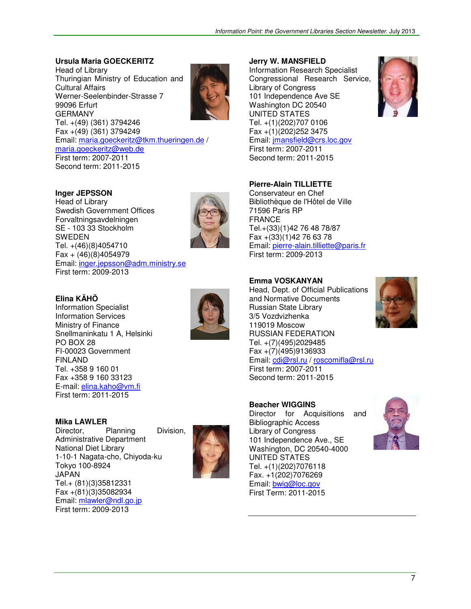### **Ursula Maria GOECKERITZ**

Head of Library Thuringian Ministry of Education and Cultural Affairs Werner-Seelenbinder-Strasse 7 99096 Erfurt GERMANY Tel. +(49) (361) 3794246 Fax  $+(49)(361)$  3794249 Email: maria.goeckeritz@tkm.thueringen.de / maria.goeckeritz@web.de First term: 2007-2011 Second term: 2011-2015



### **Inger JEPSSON**

Head of Library Swedish Government Offices Forvaltningsavdelningen SE - 103 33 Stockholm SWEDEN Tel. +(46)(8)4054710 Fax + (46)(8)4054979 Email: inger.jepsson@adm.ministry.se First term: 2009-2013



# **Elina KÄHÖ**

Information Specialist Information Services Ministry of Finance Snellmaninkatu 1 A, Helsinki PO BOX 28 FI-00023 Government FINLAND Tel. +358 9 160 01 Fax +358 9 160 33123 E-mail: elina.kaho@vm.fi First term: 2011-2015



Director, Planning Division, Administrative Department National Diet Library 1-10-1 Nagata-cho, Chiyoda-ku Tokyo 100-8924 JAPAN Tel.+ (81)(3)35812331 Fax +(81)(3)35082934 Email: mlawler@ndl.go.jp First term: 2009-2013



#### **Jerry W. MANSFIELD**

Information Research Specialist Congressional Research Service, Library of Congress 101 Independence Ave SE Washington DC 20540 UNITED STATES Tel. +(1)(202)707 0106 Fax  $+(1)(202)252$  3475 Email: jmansfield@crs.loc.gov First term: 2007-2011 Second term: 2011-2015

#### **Pierre-Alain TILLIETTE**

Conservateur en Chef Bibliothèque de l'Hôtel de Ville 71596 Paris RP FRANCE Tel.+(33)(1)42 76 48 78/87 Fax +(33)(1)42 76 63 78 Email: pierre-alain.tilliette@paris.fr First term: 2009-2013

#### **Emma VOSKANYAN**

Head, Dept. of Official Publications and Normative Documents Russian State Library 3/5 Vozdvizhenka 119019 Moscow RUSSIAN FEDERATION Tel. +(7)(495)2029485 Fax +(7)(495)9136933 Email: cdi@rsl.ru / roscomifla@rsl.ru First term: 2007-2011 Second term: 2011-2015



#### **Beacher WIGGINS**

Director for Acquisitions and Bibliographic Access Library of Congress 101 Independence Ave., SE Washington, DC 20540-4000 UNITED STATES Tel. +(1)(202)7076118 Fax. +1(202)7076269 Email: bwig@loc.gov First Term: 2011-2015

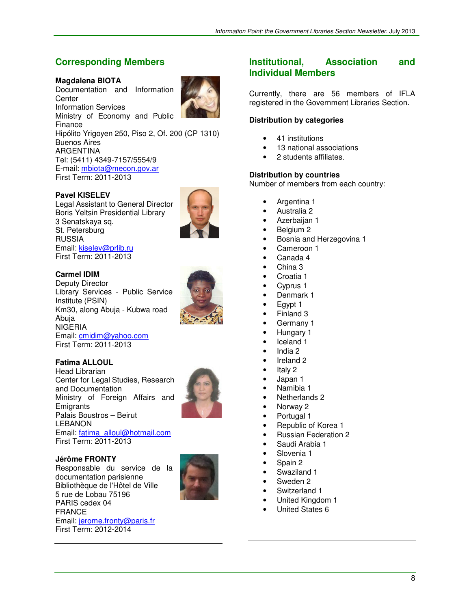# **Corresponding Members**

### **Magdalena BIOTA**

Documentation and Information **Center** Information Services Ministry of Economy and Public Finance Hipólito Yrigoyen 250, Piso 2, Of. 200 (CP 1310) Buenos Aires ARGENTINA Tel: (5411) 4349-7157/5554/9 E-mail: mbiota@mecon.gov.ar First Term: 2011-2013

### **Pavel KISELEV**

Legal Assistant to General Director Boris Yeltsin Presidential Library 3 Senatskaya sq. St. Petersburg RUSSIA Email: kiselev@prlib.ru First Term: 2011-2013



#### **Carmel IDIM**

Deputy Director Library Services - Public Service Institute (PSIN) Km30, along Abuja - Kubwa road Abuja NIGERIA Email: cmidim@yahoo.com First Term: 2011-2013

### **Fatima ALLOUL**

Head Librarian Center for Legal Studies, Research and Documentation Ministry of Foreign Affairs and **Emigrants** Palais Boustros – Beirut LEBANON Email: fatima\_alloul@hotmail.com First Term: 2011-2013



**Jérôme FRONTY**

Responsable du service de la documentation parisienne Bibliothèque de l'Hôtel de Ville 5 rue de Lobau 75196 PARIS cedex 04 FRANCE Email: jerome.fronty@paris.fr First Term: 2012-2014



# **Institutional, Association and Individual Members**

Currently, there are 56 members of IFLA registered in the Government Libraries Section.

### **Distribution by categories**

- 41 institutions
- 13 national associations
- 2 students affiliates.

#### **Distribution by countries**

Number of members from each country:

- Argentina 1
- Australia 2
- Azerbaijan 1
- Belgium 2
- Bosnia and Herzegovina 1
- Cameroon 1
- Canada 4
- China 3
- Croatia 1
- Cyprus 1
- Denmark 1
- Egypt 1
- Finland 3
- Germany 1
- Hungary 1
- Iceland 1
- India 2
- Ireland 2
- Italy 2
- Japan 1
- Namibia 1
- Netherlands 2
- Norway 2
- Portugal 1
- Republic of Korea 1
- Russian Federation 2
- Saudi Arabia 1
- Slovenia 1
- Spain 2
- Swaziland 1
- Sweden 2
- Switzerland 1
- United Kingdom 1
- United States 6